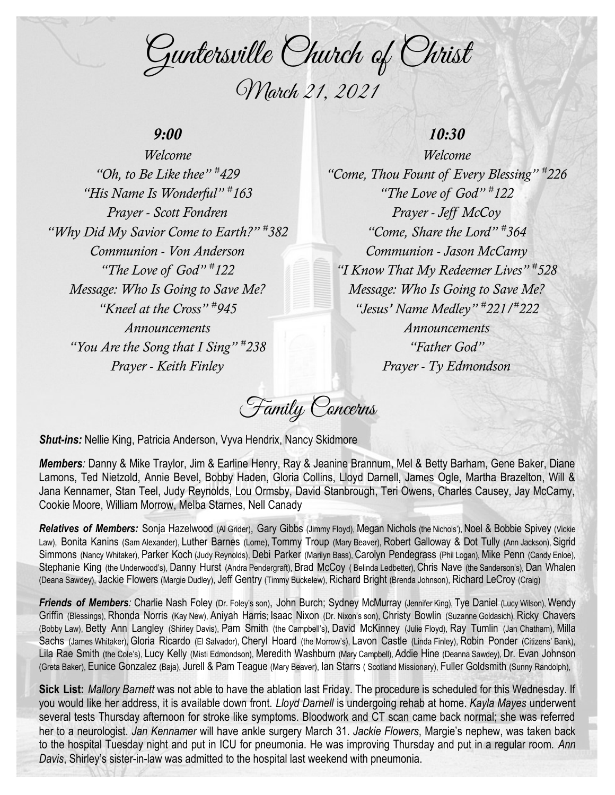Guntersville Church of Christ March 21, 2021

## *9:00*

*Welcome "Oh, to Be Like thee" # 429 "His Name Is Wonderful" # 163 Prayer - Scott Fondren "Why Did My Savior Come to Earth?" # 382 Communion - Von Anderson "The Love of God" # 122 Message: Who Is Going to Save Me? "Kneel at the Cross" # 945 Announcements "You Are the Song that I Sing" # 238 Prayer - Keith Finley*

## *10:30*

*Welcome "Come, Thou Fount of Every Blessing" # 226 "The Love of God" # 122 Prayer - Jeff McCoy "Come, Share the Lord" # 364 Communion - Jason McCamy "I Know That My Redeemer Lives" # 528 Message: Who Is Going to Save Me? "Jesus' Name Medley" # 221/# 222 Announcements "Father God" Prayer - Ty Edmondson*

Family Concerns

*Shut-ins:* Nellie King, Patricia Anderson, Vyva Hendrix, Nancy Skidmore

*Members:* Danny & Mike Traylor, Jim & Earline Henry, Ray & Jeanine Brannum, Mel & Betty Barham, Gene Baker, Diane Lamons, Ted Nietzold, Annie Bevel, Bobby Haden, Gloria Collins, Lloyd Darnell, James Ogle, Martha Brazelton, Will & Jana Kennamer, Stan Teel, Judy Reynolds, Lou Ormsby, David Stanbrough, Teri Owens, Charles Causey, Jay McCamy, Cookie Moore, William Morrow, Melba Starnes, Nell Canady

Relatives of Members: Sonja Hazelwood (Al Grider), Gary Gibbs (Jimmy Floyd), Megan Nichols (the Nichols'), Noel & Bobbie Spivey (Vickie Law), Bonita Kanins (Sam Alexander), Luther Barnes (Lorne), Tommy Troup (Mary Beaver), Robert Galloway & Dot Tully (Ann Jackson), Sigrid Simmons (Nancy Whitaker), Parker Koch (Judy Reynolds), Debi Parker (Marilyn Bass), Carolyn Pendegrass (Phil Logan), Mike Penn (Candy Enloe), Stephanie King (the Underwood's), Danny Hurst (Andra Pendergraft), Brad McCoy ( Belinda Ledbetter), Chris Nave (the Sanderson's), Dan Whalen (Deana Sawdey), Jackie Flowers (Margie Dudley), Jeff Gentry (Timmy Buckelew), Richard Bright (Brenda Johnson), Richard LeCroy (Craig)

*Friends of Members:* Charlie Nash Foley (Dr. Foley's son), John Burch; Sydney McMurray (Jennifer King), Tye Daniel (Lucy Wilson), Wendy Griffin (Blessings), Rhonda Norris (Kay New), Aniyah Harris; Isaac Nixon (Dr. Nixon's son), Christy Bowlin (Suzanne Goldasich), Ricky Chavers (Bobby Law), Betty Ann Langley (Shirley Davis), Pam Smith (the Campbell's), David McKinney (Julie Floyd), Ray Tumlin (Jan Chatham), Milla Sachs (James Whitaker), Gloria Ricardo (El Salvador), Cheryl Hoard (the Morrow's), Lavon Castle (Linda Finley), Robin Ponder (Citizens' Bank), Lila Rae Smith (the Cole's), Lucy Kelly (Misti Edmondson), Meredith Washburn (Mary Campbell), Addie Hine (Deanna Sawdey), Dr. Evan Johnson (Greta Baker), Eunice Gonzalez (Baja), Jurell & Pam Teague (Mary Beaver), Ian Starrs ( Scotland Missionary), Fuller Goldsmith (Sunny Randolph),

**Sick List:** *Mallory Barnett* was not able to have the ablation last Friday. The procedure is scheduled for this Wednesday. If you would like her address, it is available down front. *Lloyd Darnell* is undergoing rehab at home. *Kayla Mayes* underwent several tests Thursday afternoon for stroke like symptoms. Bloodwork and CT scan came back normal; she was referred her to a neurologist. *Jan Kennamer* will have ankle surgery March 31. *Jackie Flowers*, Margie's nephew, was taken back to the hospital Tuesday night and put in ICU for pneumonia. He was improving Thursday and put in a regular room. *Ann Davis*, Shirley's sister-in-law was admitted to the hospital last weekend with pneumonia.